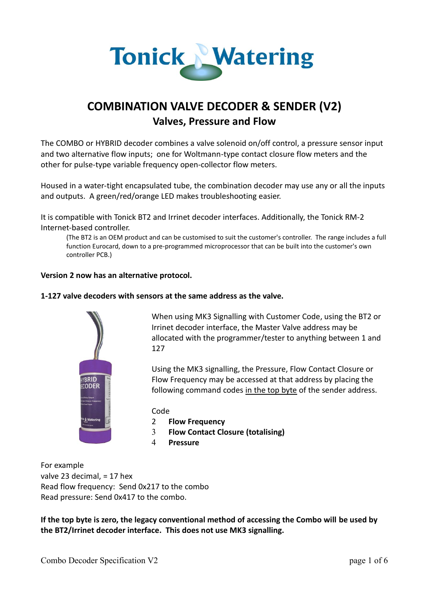

# **COMBINATION VALVE DECODER & SENDER (V2) Valves, Pressure and Flow**

The COMBO or HYBRID decoder combines a valve solenoid on/off control, a pressure sensor input and two alternative flow inputs; one for Woltmann-type contact closure flow meters and the other for pulse-type variable frequency open-collector flow meters.

Housed in a water-tight encapsulated tube, the combination decoder may use any or all the inputs and outputs. A green/red/orange LED makes troubleshooting easier.

It is compatible with Tonick BT2 and Irrinet decoder interfaces. Additionally, the Tonick RM-2 Internet-based controller.

(The BT2 is an OEM product and can be customised to suit the customer's controller. The range includes a full function Eurocard, down to a pre-programmed microprocessor that can be built into the customer's own controller PCB.)

#### **Version 2 now has an alternative protocol.**

#### **1-127 valve decoders with sensors at the same address as the valve.**



When using MK3 Signalling with Customer Code, using the BT2 or Irrinet decoder interface, the Master Valve address may be allocated with the programmer/tester to anything between 1 and 127

Using the MK3 signalling, the Pressure, Flow Contact Closure or Flow Frequency may be accessed at that address by placing the following command codes in the top byte of the sender address.

Code

- 2 **Flow Frequency**
- 3 **Flow Contact Closure (totalising)**
- 4 **Pressure**

For example valve 23 decimal, = 17 hex Read flow frequency: Send 0x217 to the combo Read pressure: Send 0x417 to the combo.

**If the top byte is zero, the legacy conventional method of accessing the Combo will be used by the BT2/Irrinet decoder interface. This does not use MK3 signalling.**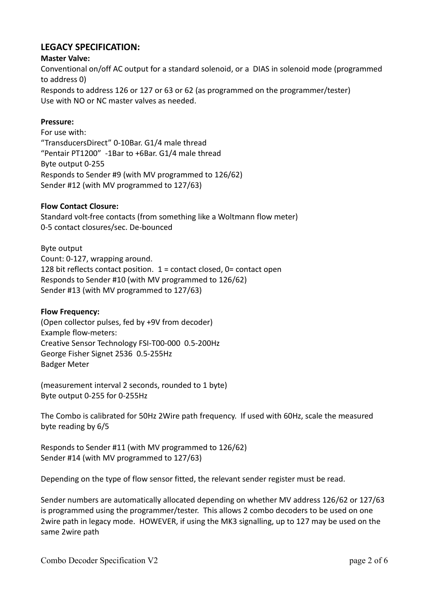## **LEGACY SPECIFICATION:**

## **Master Valve:**

Conventional on/off AC output for a standard solenoid, or a DIAS in solenoid mode (programmed to address 0) Responds to address 126 or 127 or 63 or 62 (as programmed on the programmer/tester) Use with NO or NC master valves as needed.

## **Pressure:**

For use with: "TransducersDirect" 0-10Bar. G1/4 male thread "Pentair PT1200" -1Bar to +6Bar. G1/4 male thread Byte output 0-255 Responds to Sender #9 (with MV programmed to 126/62) Sender #12 (with MV programmed to 127/63)

## **Flow Contact Closure:**

Standard volt-free contacts (from something like a Woltmann flow meter) 0-5 contact closures/sec. De-bounced

Byte output Count: 0-127, wrapping around. 128 bit reflects contact position.  $1 =$  contact closed, 0= contact open Responds to Sender #10 (with MV programmed to 126/62) Sender #13 (with MV programmed to 127/63)

## **Flow Frequency:**

(Open collector pulses, fed by +9V from decoder) Example flow-meters: Creative Sensor Technology FSI-T00-000 0.5-200Hz George Fisher Signet 2536 0.5-255Hz Badger Meter

(measurement interval 2 seconds, rounded to 1 byte) Byte output 0-255 for 0-255Hz

The Combo is calibrated for 50Hz 2Wire path frequency. If used with 60Hz, scale the measured byte reading by 6/5

Responds to Sender #11 (with MV programmed to 126/62) Sender #14 (with MV programmed to 127/63)

Depending on the type of flow sensor fitted, the relevant sender register must be read.

Sender numbers are automatically allocated depending on whether MV address 126/62 or 127/63 is programmed using the programmer/tester. This allows 2 combo decoders to be used on one 2wire path in legacy mode. HOWEVER, if using the MK3 signalling, up to 127 may be used on the same 2wire path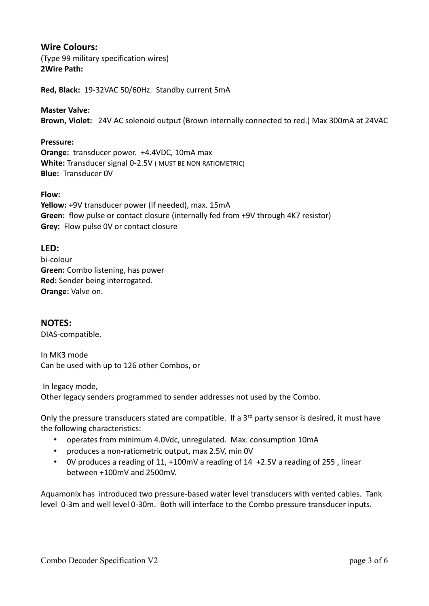## **Wire Colours:**

(Type 99 military specification wires) **2Wire Path:**

**Red, Black:** 19-32VAC 50/60Hz. Standby current 5mA

#### **Master Valve:**

**Brown, Violet:** 24V AC solenoid output (Brown internally connected to red.) Max 300mA at 24VAC

#### **Pressure:**

**Orange:** transducer power. +4.4VDC, 10mA max **White:** Transducer signal 0-2.5V ( MUST BE NON RATIOMETRIC) **Blue:** Transducer 0V

#### **Flow:**

**Yellow:** +9V transducer power (if needed), max. 15mA **Green:** flow pulse or contact closure (internally fed from +9V through 4K7 resistor) **Grey:** Flow pulse 0V or contact closure

## **LED:**

bi-colour **Green:** Combo listening, has power **Red:** Sender being interrogated. **Orange:** Valve on.

## **NOTES:**

DIAS-compatible.

In MK3 mode Can be used with up to 126 other Combos, or

In legacy mode,

Other legacy senders programmed to sender addresses not used by the Combo.

Only the pressure transducers stated are compatible. If a 3<sup>rd</sup> party sensor is desired, it must have the following characteristics:

- operates from minimum 4.0Vdc, unregulated. Max. consumption 10mA
- produces a non-ratiometric output, max 2.5V, min 0V
- 0V produces a reading of 11, +100mV a reading of 14 +2.5V a reading of 255 , linear between +100mV and 2500mV.

Aquamonix has introduced two pressure-based water level transducers with vented cables. Tank level 0-3m and well level 0-30m. Both will interface to the Combo pressure transducer inputs.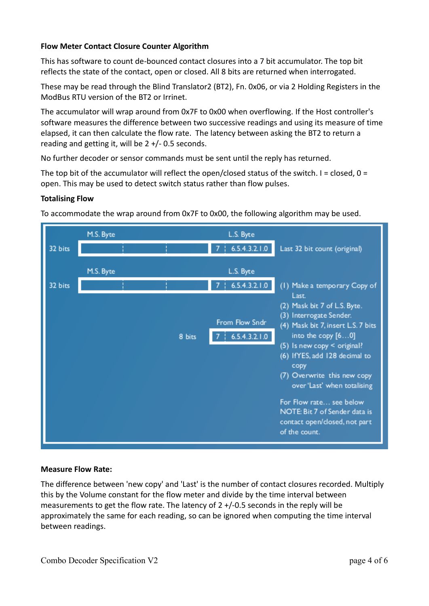## **Flow Meter Contact Closure Counter Algorithm**

This has software to count de-bounced contact closures into a 7 bit accumulator. The top bit reflects the state of the contact, open or closed. All 8 bits are returned when interrogated.

These may be read through the Blind Translator2 (BT2), Fn. 0x06, or via 2 Holding Registers in the ModBus RTU version of the BT2 or Irrinet.

The accumulator will wrap around from 0x7F to 0x00 when overflowing. If the Host controller's software measures the difference between two successive readings and using its measure of time elapsed, it can then calculate the flow rate. The latency between asking the BT2 to return a reading and getting it, will be  $2 +/-0.5$  seconds.

No further decoder or sensor commands must be sent until the reply has returned.

The top bit of the accumulator will reflect the open/closed status of the switch. I = closed,  $0 =$ open. This may be used to detect switch status rather than flow pulses.

#### **Totalising Flow**



To accommodate the wrap around from 0x7F to 0x00, the following algorithm may be used.

## **Measure Flow Rate:**

The difference between 'new copy' and 'Last' is the number of contact closures recorded. Multiply this by the Volume constant for the flow meter and divide by the time interval between measurements to get the flow rate. The latency of 2 +/-0.5 seconds in the reply will be approximately the same for each reading, so can be ignored when computing the time interval between readings.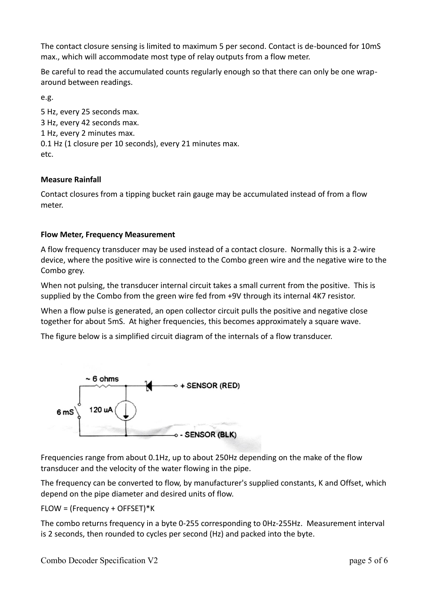The contact closure sensing is limited to maximum 5 per second. Contact is de-bounced for 10mS max., which will accommodate most type of relay outputs from a flow meter.

Be careful to read the accumulated counts regularly enough so that there can only be one wraparound between readings.

e.g.

5 Hz, every 25 seconds max. 3 Hz, every 42 seconds max. 1 Hz, every 2 minutes max. 0.1 Hz (1 closure per 10 seconds), every 21 minutes max. etc.

#### **Measure Rainfall**

Contact closures from a tipping bucket rain gauge may be accumulated instead of from a flow meter.

#### **Flow Meter, Frequency Measurement**

A flow frequency transducer may be used instead of a contact closure. Normally this is a 2-wire device, where the positive wire is connected to the Combo green wire and the negative wire to the Combo grey.

When not pulsing, the transducer internal circuit takes a small current from the positive. This is supplied by the Combo from the green wire fed from +9V through its internal 4K7 resistor.

When a flow pulse is generated, an open collector circuit pulls the positive and negative close together for about 5mS. At higher frequencies, this becomes approximately a square wave.

The figure below is a simplified circuit diagram of the internals of a flow transducer.



Frequencies range from about 0.1Hz, up to about 250Hz depending on the make of the flow transducer and the velocity of the water flowing in the pipe.

The frequency can be converted to flow, by manufacturer's supplied constants, K and Offset, which depend on the pipe diameter and desired units of flow.

FLOW = (Frequency + OFFSET)\*K

The combo returns frequency in a byte 0-255 corresponding to 0Hz-255Hz. Measurement interval is 2 seconds, then rounded to cycles per second (Hz) and packed into the byte.